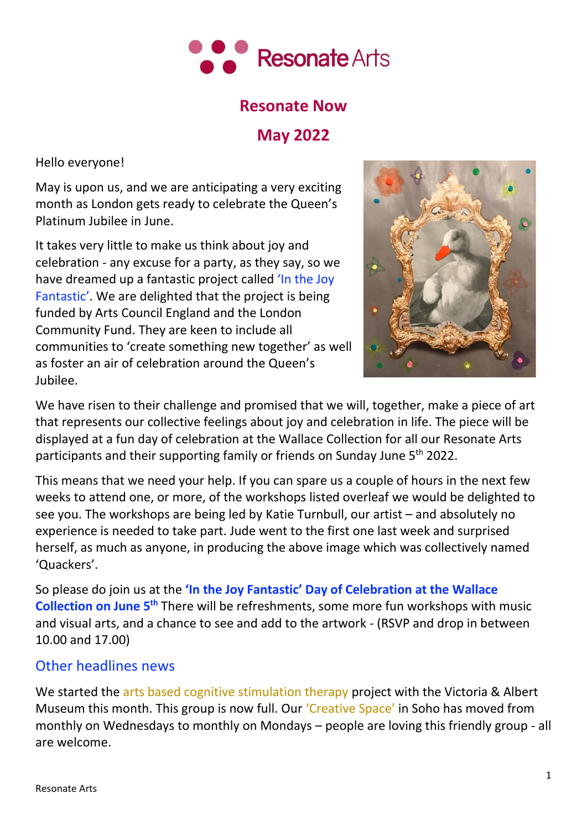

## **Resonate Now**

# **May 2022**

Hello everyone!

May is upon us, and we are anticipating a very exciting month as London gets ready to celebrate the Queen's Platinum Jubilee in June.

It takes very little to make us think about joy and celebration - any excuse for a party, as they say, so we have dreamed up a fantastic project called 'In the Joy Fantastic'. We are delighted that the project is being funded by Arts Council England and the London Community Fund. They are keen to include all communities to 'create something new together' as well as foster an air of celebration around the Queen's Jubilee.



We have risen to their challenge and promised that we will, together, make a piece of art that represents our collective feelings about joy and celebration in life. The piece will be displayed at a fun day of celebration at the Wallace Collection for all our Resonate Arts participants and their supporting family or friends on Sunday June 5<sup>th</sup> 2022.

This means that we need your help. If you can spare us a couple of hours in the next few weeks to attend one, or more, of the workshops listed overleaf we would be delighted to see you. The workshops are being led by Katie Turnbull, our artist – and absolutely no experience is needed to take part. Jude went to the first one last week and surprised herself, as much as anyone, in producing the above image which was collectively named 'Quackers'.

So please do join us at the **'In the Joy Fantastic' Day of Celebration at the Wallace Collection on June 5th** There will be refreshments, some more fun workshops with music and visual arts, and a chance to see and add to the artwork - (RSVP and drop in between 10.00 and 17.00)

### Other headlines news

We started the arts based cognitive stimulation therapy project with the Victoria & Albert Museum this month. This group is now full. Our 'Creative Space' in Soho has moved from monthly on Wednesdays to monthly on Mondays – people are loving this friendly group - all are welcome.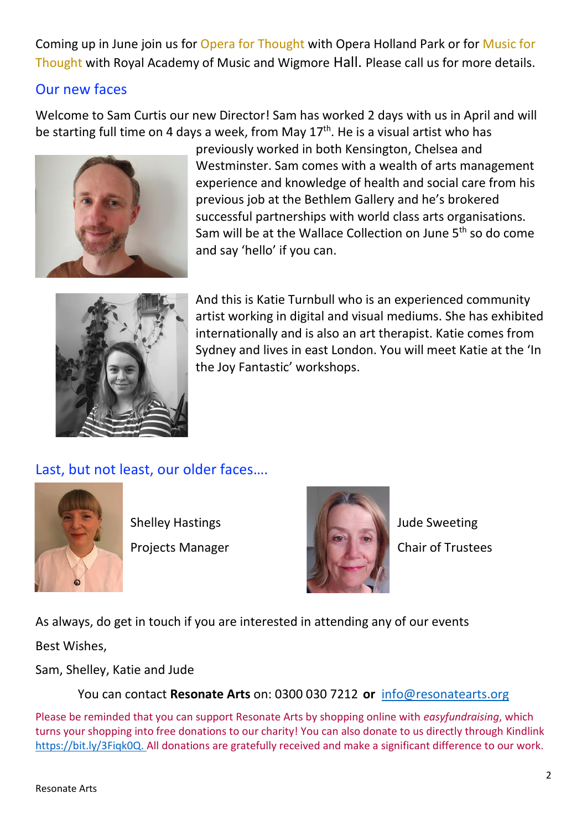Coming up in June join us for Opera for Thought with Opera Holland Park or for Music for Thought with Royal Academy of Music and Wigmore Hall. Please call us for more details.

### Our new faces

Welcome to Sam Curtis our new Director! Sam has worked 2 days with us in April and will be starting full time on 4 days a week, from May 17<sup>th</sup>. He is a visual artist who has



previously worked in both Kensington, Chelsea and Westminster. Sam comes with a wealth of arts management experience and knowledge of health and social care from his previous job at the Bethlem Gallery and he's brokered successful partnerships with world class arts organisations. Sam will be at the Wallace Collection on June 5<sup>th</sup> so do come and say 'hello' if you can.



And this is Katie Turnbull who is an experienced community artist working in digital and visual mediums. She has exhibited internationally and is also an art therapist. Katie comes from Sydney and lives in east London. You will meet Katie at the 'In the Joy Fantastic' workshops.

# Last, but not least, our older faces….





As always, do get in touch if you are interested in attending any of our events

Best Wishes,

Sam, Shelley, Katie and Jude

You can contact **Resonate Arts** on: 0300 030 7212 **or** [info@resonatearts.org](mailto:info@resonatearts.org)

Please be reminded that you can support Resonate Arts by shopping online with *easyfundraising*, which turns your shopping into free donations to our charity! You can also donate to us directly through Kindlink [https://bit.ly/3Fiqk0Q.](https://bit.ly/3Fiqk0Q) All donations are gratefully received and make a significant difference to our work.